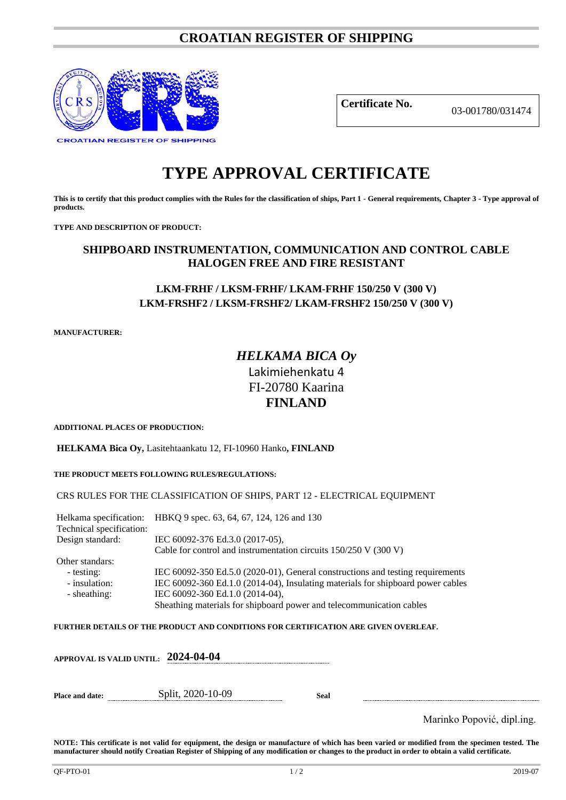# **CROATIAN REGISTER OF SHIPPING**



**Certificate No.** 03-001780/031474

# **TYPE APPROVAL CERTIFICATE**

**This is to certify that this product complies with the Rules for the classification of ships, Part 1 - General requirements, Chapter 3 - Type approval of products.**

**TYPE AND DESCRIPTION OF PRODUCT:** 

## **SHIPBOARD INSTRUMENTATION, COMMUNICATION AND CONTROL CABLE HALOGEN FREE AND FIRE RESISTANT**

## **LKM-FRHF / LKSM-FRHF/ LKAM-FRHF 150/250 V (300 V) LKM-FRSHF2 / LKSM-FRSHF2/ LKAM-FRSHF2 150/250 V (300 V)**

**MANUFACTURER:**

# *HELKAMA BICA Oy* Lakimiehenkatu 4 FI-20780 Kaarina **FINLAND**

**ADDITIONAL PLACES OF PRODUCTION:**

**HELKAMA Bica Oy,** Lasitehtaankatu 12, FI-10960 Hanko**, FINLAND**

#### **THE PRODUCT MEETS FOLLOWING RULES/REGULATIONS:**

#### CRS RULES FOR THE CLASSIFICATION OF SHIPS, PART 12 - ELECTRICAL EQUIPMENT

Helkama specification: HBKQ 9 spec. 63, 64, 67, 124, 126 and 130 Technical specification: Design standard: IEC 60092-376 Ed.3.0 (2017-05), Cable for control and instrumentation circuits 150/250 V (300 V) Other standars: - testing: IEC 60092-350 Ed.5.0 (2020-01), General constructions and testing requirements<br>- insulation: IEC 60092-360 Ed.1.0 (2014-04), Insulating materials for shipboard power cables IEC 60092-360 Ed.1.0 (2014-04), Insulating materials for shipboard power cables - sheathing: IEC 60092-360 Ed.1.0 (2014-04), Sheathing materials for shipboard power and telecommunication cables

**FURTHER DETAILS OF THE PRODUCT AND CONDITIONS FOR CERTIFICATION ARE GIVEN OVERLEAF.**

|                 | APPROVAL IS VALID UNTIL: 2024-04-04 |      |                            |
|-----------------|-------------------------------------|------|----------------------------|
| Place and date: | Split, 2020-10-09                   | Seal |                            |
|                 |                                     |      | Marinko Popović, dipl.ing. |

**NOTE: This certificate is not valid for equipment, the design or manufacture of which has been varied or modified from the specimen tested. The manufacturer should notify Croatian Register of Shipping of any modification or changes to the product in order to obtain a valid certificate.**